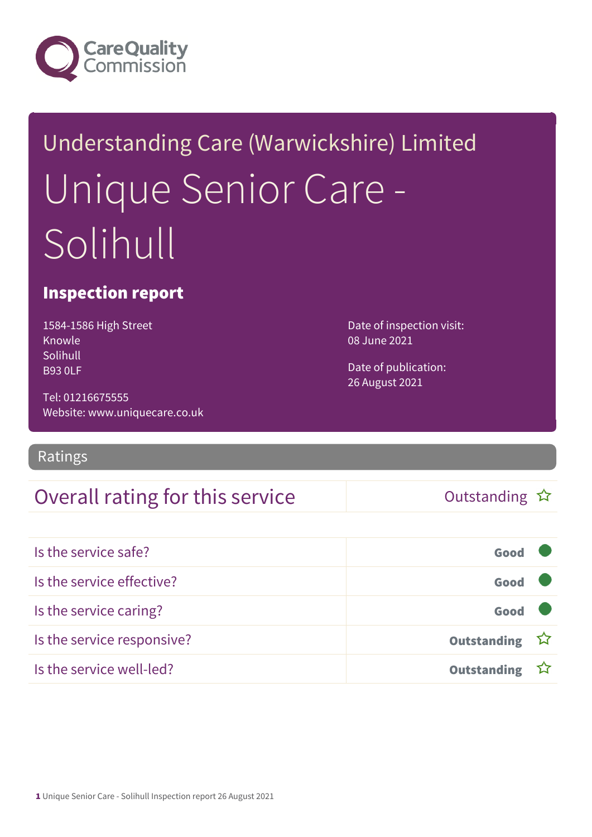

# Understanding Care (Warwickshire) Limited Unique Senior Care - Solihull

### Inspection report

1584-1586 High Street Knowle Solihull B93 0LF

Tel: 01216675555 Website: www.uniquecare.co.uk

### Ratings

### Overall rating for this service  $\Box$  Outstanding  $\hat{x}$

Date of inspection visit: 08 June 2021

Date of publication: 26 August 2021

| Is the service safe?       | Good          |  |
|----------------------------|---------------|--|
| Is the service effective?  | Good          |  |
| Is the service caring?     | Good          |  |
| Is the service responsive? | Outstanding ☆ |  |
| Is the service well-led?   | Outstanding ☆ |  |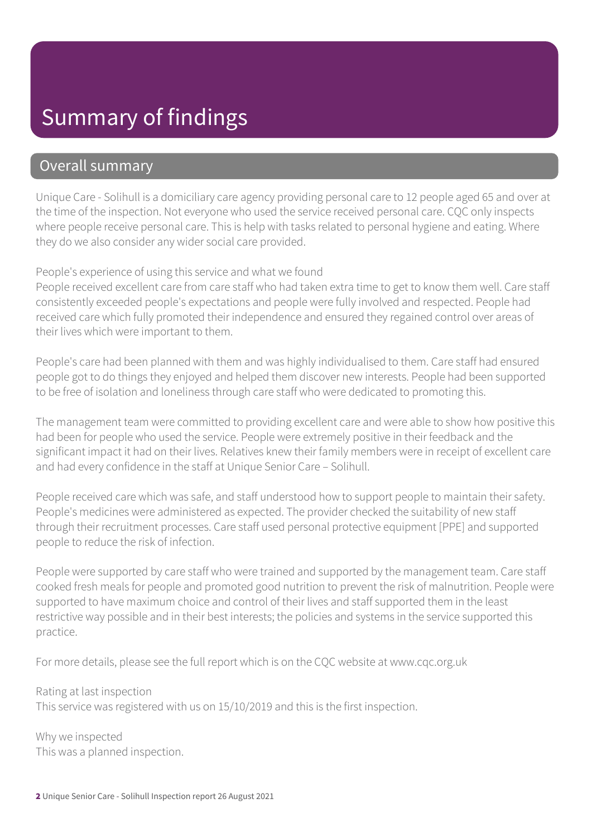### Summary of findings

### Overall summary

Unique Care - Solihull is a domiciliary care agency providing personal care to 12 people aged 65 and over at the time of the inspection. Not everyone who used the service received personal care. CQC only inspects where people receive personal care. This is help with tasks related to personal hygiene and eating. Where they do we also consider any wider social care provided.

#### People's experience of using this service and what we found

People received excellent care from care staff who had taken extra time to get to know them well. Care staff consistently exceeded people's expectations and people were fully involved and respected. People had received care which fully promoted their independence and ensured they regained control over areas of their lives which were important to them.

People's care had been planned with them and was highly individualised to them. Care staff had ensured people got to do things they enjoyed and helped them discover new interests. People had been supported to be free of isolation and loneliness through care staff who were dedicated to promoting this.

The management team were committed to providing excellent care and were able to show how positive this had been for people who used the service. People were extremely positive in their feedback and the significant impact it had on their lives. Relatives knew their family members were in receipt of excellent care and had every confidence in the staff at Unique Senior Care – Solihull.

People received care which was safe, and staff understood how to support people to maintain their safety. People's medicines were administered as expected. The provider checked the suitability of new staff through their recruitment processes. Care staff used personal protective equipment [PPE] and supported people to reduce the risk of infection.

People were supported by care staff who were trained and supported by the management team. Care staff cooked fresh meals for people and promoted good nutrition to prevent the risk of malnutrition. People were supported to have maximum choice and control of their lives and staff supported them in the least restrictive way possible and in their best interests; the policies and systems in the service supported this practice.

For more details, please see the full report which is on the CQC website at www.cqc.org.uk

Rating at last inspection This service was registered with us on 15/10/2019 and this is the first inspection.

Why we inspected This was a planned inspection.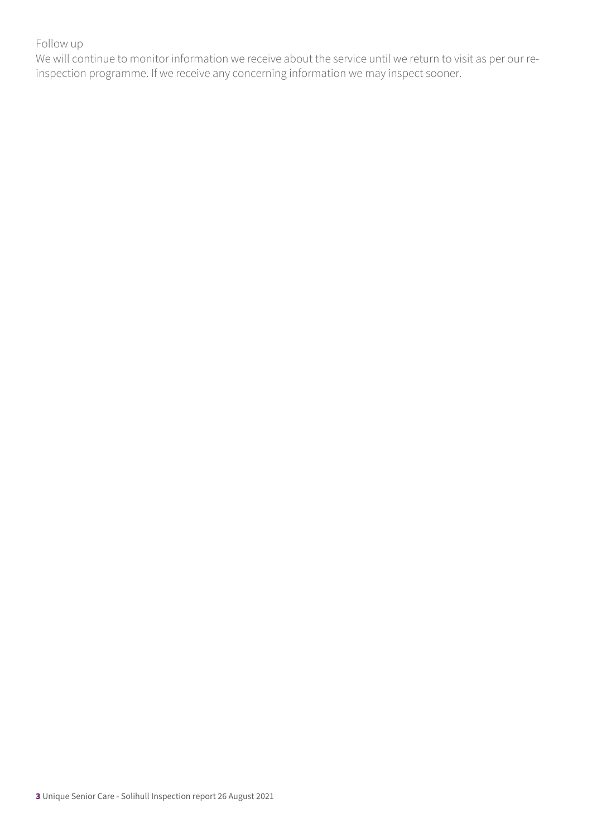#### Follow up

We will continue to monitor information we receive about the service until we return to visit as per our reinspection programme. If we receive any concerning information we may inspect sooner.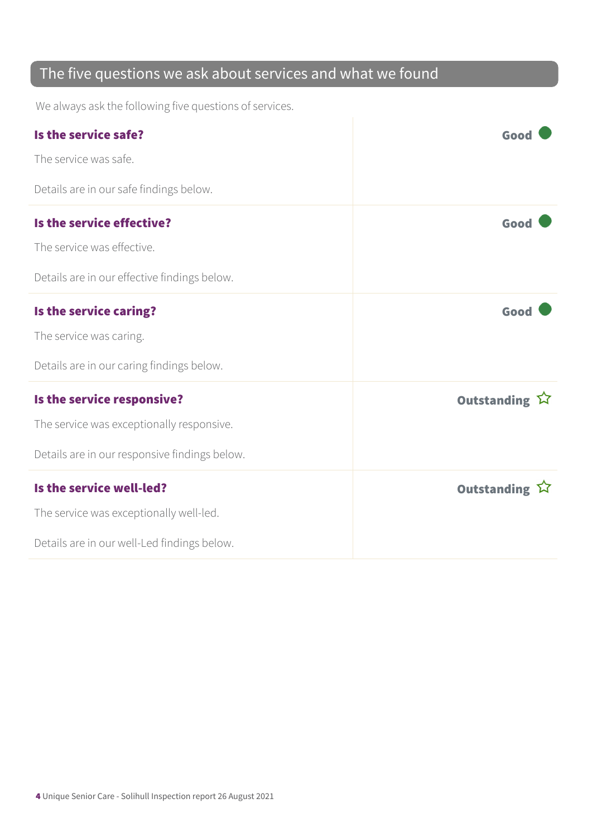### The five questions we ask about services and what we found

We always ask the following five questions of services.

| Is the service safe?<br>The service was safe.                                                                            | Good          |
|--------------------------------------------------------------------------------------------------------------------------|---------------|
| Details are in our safe findings below.                                                                                  |               |
| Is the service effective?<br>The service was effective.<br>Details are in our effective findings below.                  | Good          |
| Is the service caring?<br>The service was caring.<br>Details are in our caring findings below.                           | Good          |
| Is the service responsive?<br>The service was exceptionally responsive.<br>Details are in our responsive findings below. | Outstanding ☆ |
| Is the service well-led?<br>The service was exceptionally well-led.<br>Details are in our well-Led findings below.       | Outstanding 公 |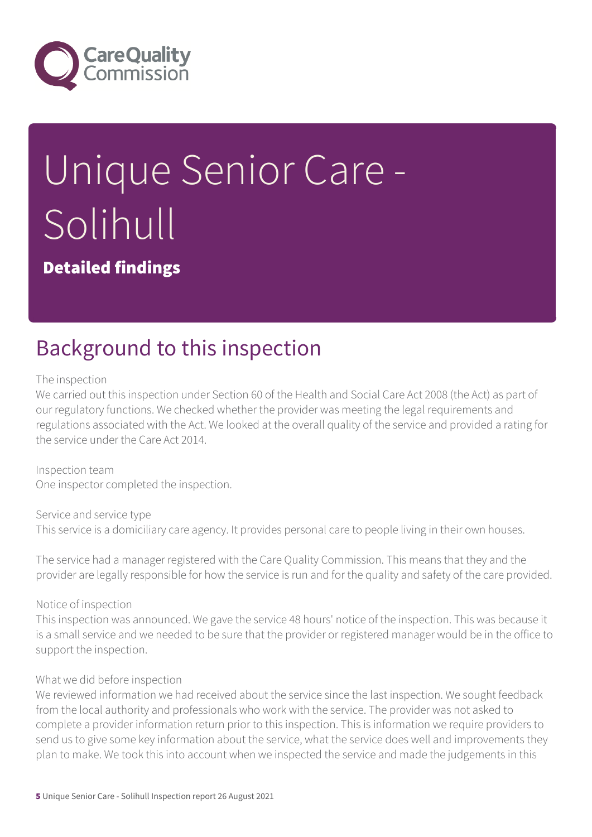

# Unique Senior Care - Solihull

Detailed findings

## Background to this inspection

The inspection

We carried out this inspection under Section 60 of the Health and Social Care Act 2008 (the Act) as part of our regulatory functions. We checked whether the provider was meeting the legal requirements and regulations associated with the Act. We looked at the overall quality of the service and provided a rating for the service under the Care Act 2014.

Inspection team One inspector completed the inspection.

Service and service type This service is a domiciliary care agency. It provides personal care to people living in their own houses.

The service had a manager registered with the Care Quality Commission. This means that they and the provider are legally responsible for how the service is run and for the quality and safety of the care provided.

Notice of inspection

This inspection was announced. We gave the service 48 hours' notice of the inspection. This was because it is a small service and we needed to be sure that the provider or registered manager would be in the office to support the inspection.

#### What we did before inspection

We reviewed information we had received about the service since the last inspection. We sought feedback from the local authority and professionals who work with the service. The provider was not asked to complete a provider information return prior to this inspection. This is information we require providers to send us to give some key information about the service, what the service does well and improvements they plan to make. We took this into account when we inspected the service and made the judgements in this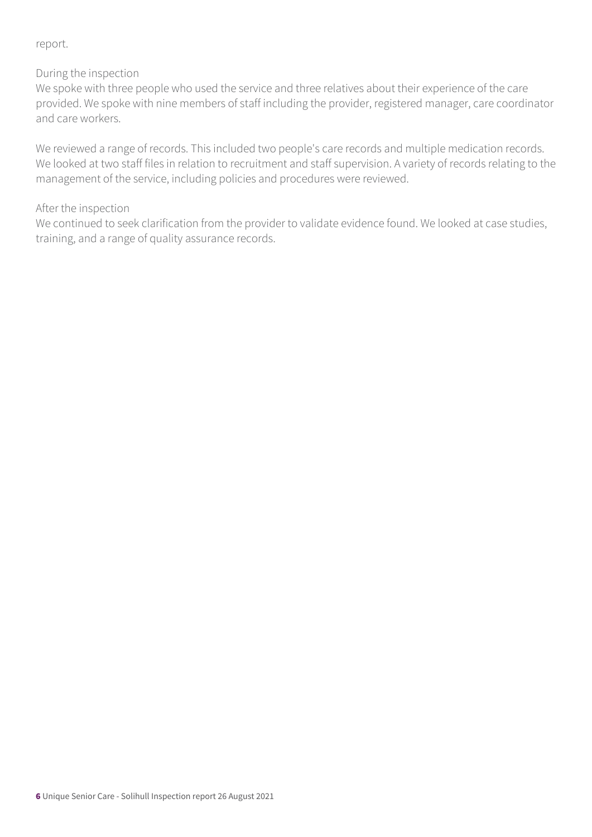#### report.

#### During the inspection

We spoke with three people who used the service and three relatives about their experience of the care provided. We spoke with nine members of staff including the provider, registered manager, care coordinator and care workers.

We reviewed a range of records. This included two people's care records and multiple medication records. We looked at two staff files in relation to recruitment and staff supervision. A variety of records relating to the management of the service, including policies and procedures were reviewed.

#### After the inspection

We continued to seek clarification from the provider to validate evidence found. We looked at case studies, training, and a range of quality assurance records.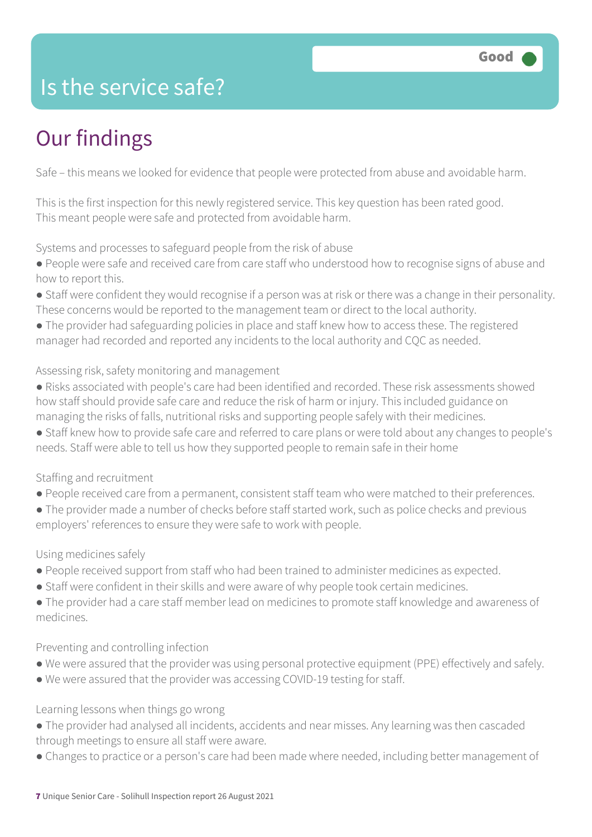## Is the service safe?

# Our findings

Safe – this means we looked for evidence that people were protected from abuse and avoidable harm.

This is the first inspection for this newly registered service. This key question has been rated good. This meant people were safe and protected from avoidable harm.

Systems and processes to safeguard people from the risk of abuse

- People were safe and received care from care staff who understood how to recognise signs of abuse and how to report this.
- Staff were confident they would recognise if a person was at risk or there was a change in their personality. These concerns would be reported to the management team or direct to the local authority.
- The provider had safeguarding policies in place and staff knew how to access these. The registered manager had recorded and reported any incidents to the local authority and CQC as needed.

#### Assessing risk, safety monitoring and management

- Risks associated with people's care had been identified and recorded. These risk assessments showed how staff should provide safe care and reduce the risk of harm or injury. This included guidance on managing the risks of falls, nutritional risks and supporting people safely with their medicines.
- Staff knew how to provide safe care and referred to care plans or were told about any changes to people's needs. Staff were able to tell us how they supported people to remain safe in their home

#### Staffing and recruitment

- People received care from a permanent, consistent staff team who were matched to their preferences.
- The provider made a number of checks before staff started work, such as police checks and previous employers' references to ensure they were safe to work with people.

#### Using medicines safely

- People received support from staff who had been trained to administer medicines as expected.
- Staff were confident in their skills and were aware of why people took certain medicines.
- The provider had a care staff member lead on medicines to promote staff knowledge and awareness of medicines.

#### Preventing and controlling infection

- We were assured that the provider was using personal protective equipment (PPE) effectively and safely.
- We were assured that the provider was accessing COVID-19 testing for staff.

#### Learning lessons when things go wrong

- The provider had analysed all incidents, accidents and near misses. Any learning was then cascaded through meetings to ensure all staff were aware.
- Changes to practice or a person's care had been made where needed, including better management of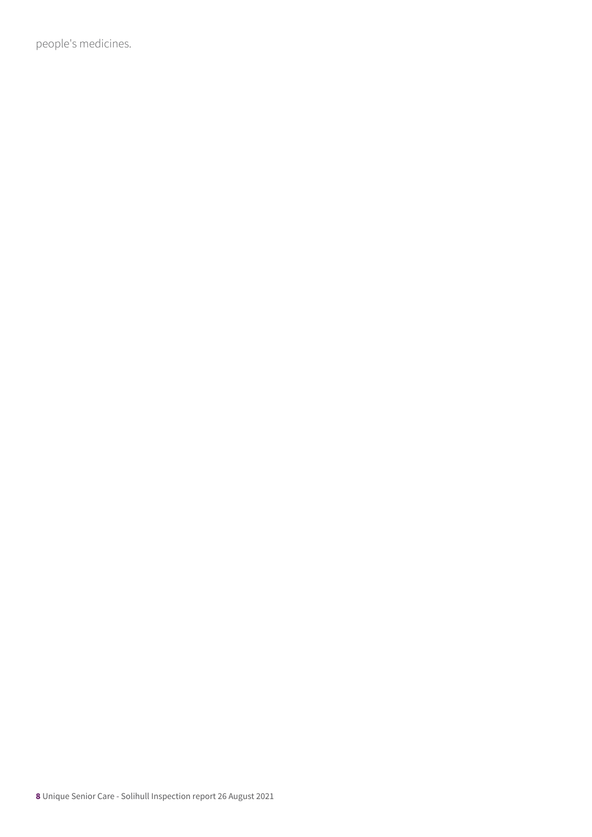people's medicines.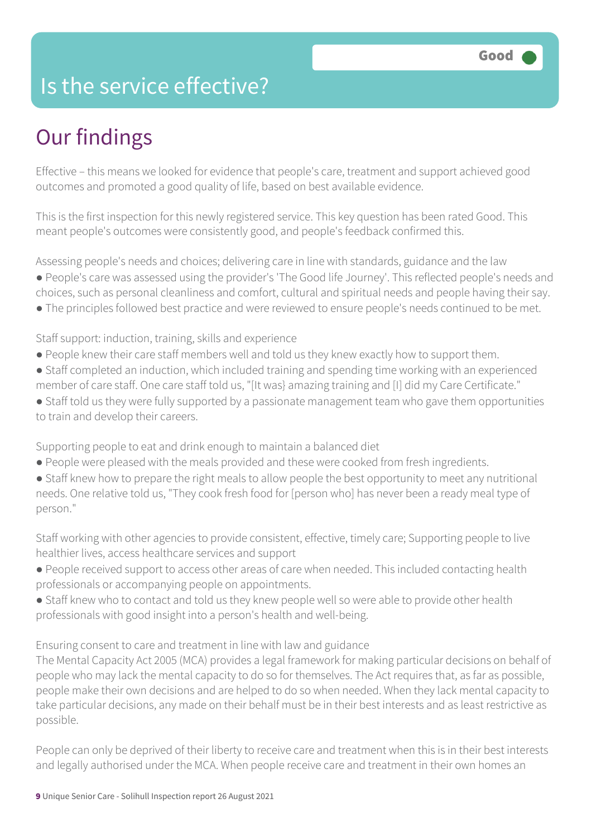### Is the service effective?

# Our findings

Effective – this means we looked for evidence that people's care, treatment and support achieved good outcomes and promoted a good quality of life, based on best available evidence.

This is the first inspection for this newly registered service. This key question has been rated Good. This meant people's outcomes were consistently good, and people's feedback confirmed this.

Assessing people's needs and choices; delivering care in line with standards, guidance and the law ● People's care was assessed using the provider's 'The Good life Journey'. This reflected people's needs and choices, such as personal cleanliness and comfort, cultural and spiritual needs and people having their say.

● The principles followed best practice and were reviewed to ensure people's needs continued to be met.

Staff support: induction, training, skills and experience

- People knew their care staff members well and told us they knew exactly how to support them.
- Staff completed an induction, which included training and spending time working with an experienced member of care staff. One care staff told us, "[It was} amazing training and [I] did my Care Certificate."
- Staff told us they were fully supported by a passionate management team who gave them opportunities to train and develop their careers.

Supporting people to eat and drink enough to maintain a balanced diet

- People were pleased with the meals provided and these were cooked from fresh ingredients.
- Staff knew how to prepare the right meals to allow people the best opportunity to meet any nutritional needs. One relative told us, "They cook fresh food for [person who] has never been a ready meal type of person."

Staff working with other agencies to provide consistent, effective, timely care; Supporting people to live healthier lives, access healthcare services and support

- People received support to access other areas of care when needed. This included contacting health professionals or accompanying people on appointments.
- Staff knew who to contact and told us they knew people well so were able to provide other health professionals with good insight into a person's health and well-being.

Ensuring consent to care and treatment in line with law and guidance

The Mental Capacity Act 2005 (MCA) provides a legal framework for making particular decisions on behalf of people who may lack the mental capacity to do so for themselves. The Act requires that, as far as possible, people make their own decisions and are helped to do so when needed. When they lack mental capacity to take particular decisions, any made on their behalf must be in their best interests and as least restrictive as possible.

People can only be deprived of their liberty to receive care and treatment when this is in their best interests and legally authorised under the MCA. When people receive care and treatment in their own homes an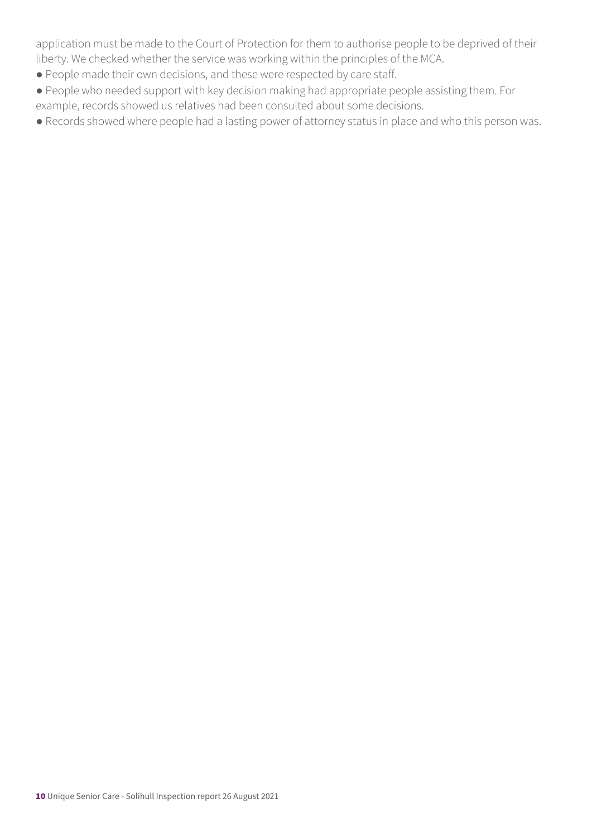application must be made to the Court of Protection for them to authorise people to be deprived of their liberty. We checked whether the service was working within the principles of the MCA.

- People made their own decisions, and these were respected by care staff.
- People who needed support with key decision making had appropriate people assisting them. For example, records showed us relatives had been consulted about some decisions.
- Records showed where people had a lasting power of attorney status in place and who this person was.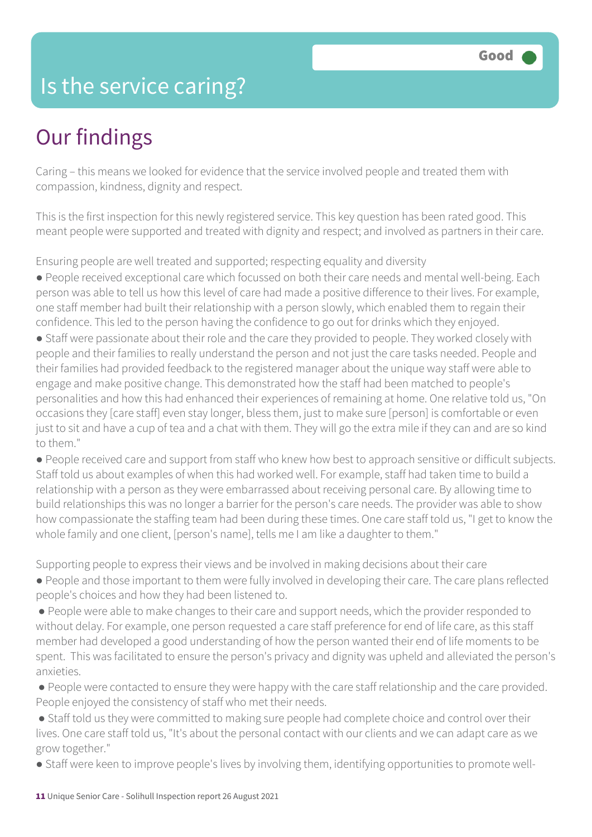### Is the service caring?

### Our findings

Caring – this means we looked for evidence that the service involved people and treated them with compassion, kindness, dignity and respect.

This is the first inspection for this newly registered service. This key question has been rated good. This meant people were supported and treated with dignity and respect; and involved as partners in their care.

Ensuring people are well treated and supported; respecting equality and diversity

● People received exceptional care which focussed on both their care needs and mental well-being. Each person was able to tell us how this level of care had made a positive difference to their lives. For example, one staff member had built their relationship with a person slowly, which enabled them to regain their confidence. This led to the person having the confidence to go out for drinks which they enjoyed.

• Staff were passionate about their role and the care they provided to people. They worked closely with people and their families to really understand the person and not just the care tasks needed. People and their families had provided feedback to the registered manager about the unique way staff were able to engage and make positive change. This demonstrated how the staff had been matched to people's personalities and how this had enhanced their experiences of remaining at home. One relative told us, "On occasions they [care staff] even stay longer, bless them, just to make sure [person] is comfortable or even just to sit and have a cup of tea and a chat with them. They will go the extra mile if they can and are so kind to them."

● People received care and support from staff who knew how best to approach sensitive or difficult subjects. Staff told us about examples of when this had worked well. For example, staff had taken time to build a relationship with a person as they were embarrassed about receiving personal care. By allowing time to build relationships this was no longer a barrier for the person's care needs. The provider was able to show how compassionate the staffing team had been during these times. One care staff told us, "I get to know the whole family and one client, [person's name], tells me I am like a daughter to them."

Supporting people to express their views and be involved in making decisions about their care

● People and those important to them were fully involved in developing their care. The care plans reflected people's choices and how they had been listened to.

● People were able to make changes to their care and support needs, which the provider responded to without delay. For example, one person requested a care staff preference for end of life care, as this staff member had developed a good understanding of how the person wanted their end of life moments to be spent. This was facilitated to ensure the person's privacy and dignity was upheld and alleviated the person's anxieties.

● People were contacted to ensure they were happy with the care staff relationship and the care provided. People enjoyed the consistency of staff who met their needs.

● Staff told us they were committed to making sure people had complete choice and control over their lives. One care staff told us, "It's about the personal contact with our clients and we can adapt care as we grow together."

● Staff were keen to improve people's lives by involving them, identifying opportunities to promote well-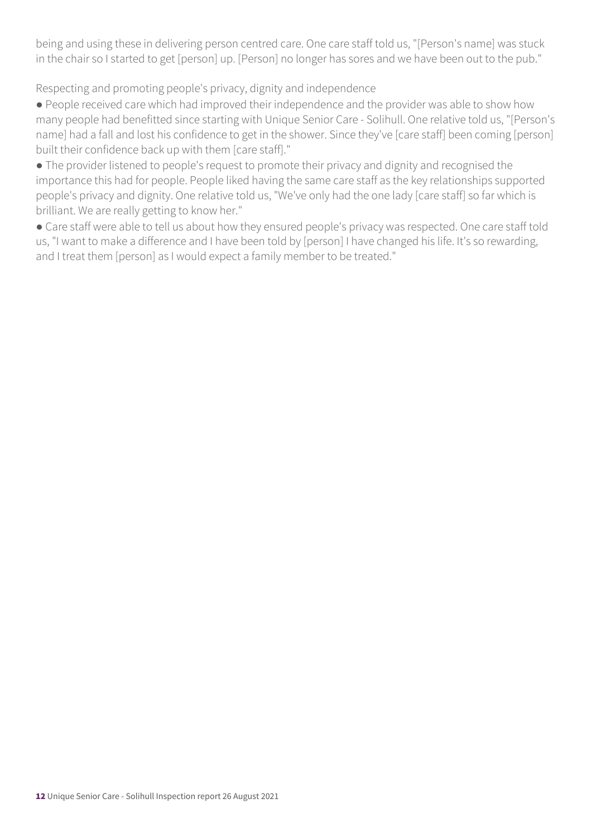being and using these in delivering person centred care. One care staff told us, "[Person's name] was stuck in the chair so I started to get [person] up. [Person] no longer has sores and we have been out to the pub."

Respecting and promoting people's privacy, dignity and independence

● People received care which had improved their independence and the provider was able to show how many people had benefitted since starting with Unique Senior Care - Solihull. One relative told us, "[Person's name] had a fall and lost his confidence to get in the shower. Since they've [care staff] been coming [person] built their confidence back up with them [care staff]."

● The provider listened to people's request to promote their privacy and dignity and recognised the importance this had for people. People liked having the same care staff as the key relationships supported people's privacy and dignity. One relative told us, "We've only had the one lady [care staff] so far which is brilliant. We are really getting to know her."

● Care staff were able to tell us about how they ensured people's privacy was respected. One care staff told us, "I want to make a difference and I have been told by [person] I have changed his life. It's so rewarding, and I treat them [person] as I would expect a family member to be treated."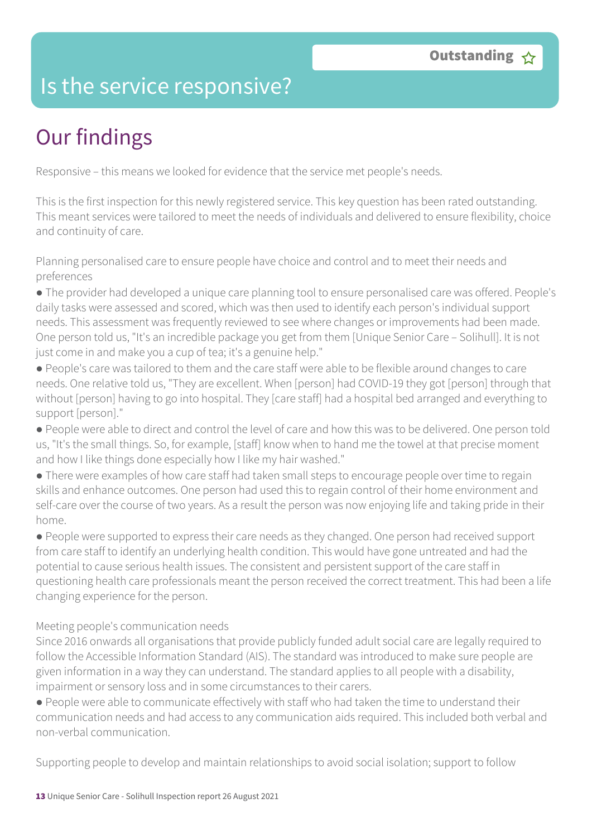### Is the service responsive?

# Our findings

Responsive – this means we looked for evidence that the service met people's needs.

This is the first inspection for this newly registered service. This key question has been rated outstanding. This meant services were tailored to meet the needs of individuals and delivered to ensure flexibility, choice and continuity of care.

Planning personalised care to ensure people have choice and control and to meet their needs and preferences

● The provider had developed a unique care planning tool to ensure personalised care was offered. People's daily tasks were assessed and scored, which was then used to identify each person's individual support needs. This assessment was frequently reviewed to see where changes or improvements had been made. One person told us, "It's an incredible package you get from them [Unique Senior Care – Solihull]. It is not just come in and make you a cup of tea; it's a genuine help."

● People's care was tailored to them and the care staff were able to be flexible around changes to care needs. One relative told us, "They are excellent. When [person] had COVID-19 they got [person] through that without [person] having to go into hospital. They [care staff] had a hospital bed arranged and everything to support [person]."

● People were able to direct and control the level of care and how this was to be delivered. One person told us, "It's the small things. So, for example, [staff] know when to hand me the towel at that precise moment and how I like things done especially how I like my hair washed."

● There were examples of how care staff had taken small steps to encourage people over time to regain skills and enhance outcomes. One person had used this to regain control of their home environment and self-care over the course of two years. As a result the person was now enjoying life and taking pride in their home.

● People were supported to express their care needs as they changed. One person had received support from care staff to identify an underlying health condition. This would have gone untreated and had the potential to cause serious health issues. The consistent and persistent support of the care staff in questioning health care professionals meant the person received the correct treatment. This had been a life changing experience for the person.

#### Meeting people's communication needs

Since 2016 onwards all organisations that provide publicly funded adult social care are legally required to follow the Accessible Information Standard (AIS). The standard was introduced to make sure people are given information in a way they can understand. The standard applies to all people with a disability, impairment or sensory loss and in some circumstances to their carers.

● People were able to communicate effectively with staff who had taken the time to understand their communication needs and had access to any communication aids required. This included both verbal and non-verbal communication.

Supporting people to develop and maintain relationships to avoid social isolation; support to follow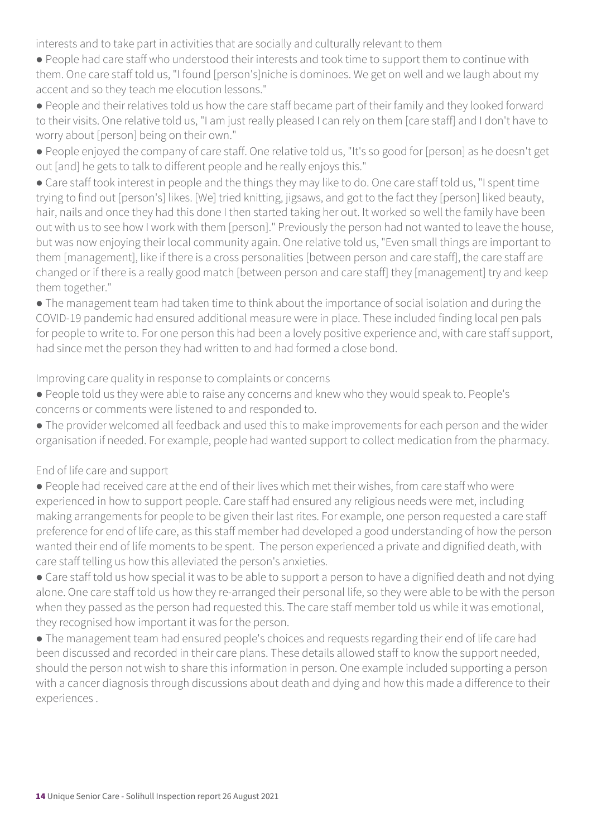interests and to take part in activities that are socially and culturally relevant to them

- People had care staff who understood their interests and took time to support them to continue with them. One care staff told us, "I found [person's]niche is dominoes. We get on well and we laugh about my accent and so they teach me elocution lessons."
- People and their relatives told us how the care staff became part of their family and they looked forward to their visits. One relative told us, "I am just really pleased I can rely on them [care staff] and I don't have to worry about [person] being on their own."
- People enjoyed the company of care staff. One relative told us, "It's so good for [person] as he doesn't get out [and] he gets to talk to different people and he really enjoys this."
- Care staff took interest in people and the things they may like to do. One care staff told us, "I spent time trying to find out [person's] likes. [We] tried knitting, jigsaws, and got to the fact they [person] liked beauty, hair, nails and once they had this done I then started taking her out. It worked so well the family have been out with us to see how I work with them [person]." Previously the person had not wanted to leave the house, but was now enjoying their local community again. One relative told us, "Even small things are important to them [management], like if there is a cross personalities [between person and care staff], the care staff are changed or if there is a really good match [between person and care staff] they [management] try and keep them together."
- The management team had taken time to think about the importance of social isolation and during the COVID-19 pandemic had ensured additional measure were in place. These included finding local pen pals for people to write to. For one person this had been a lovely positive experience and, with care staff support, had since met the person they had written to and had formed a close bond.

Improving care quality in response to complaints or concerns

- People told us they were able to raise any concerns and knew who they would speak to. People's concerns or comments were listened to and responded to.
- The provider welcomed all feedback and used this to make improvements for each person and the wider organisation if needed. For example, people had wanted support to collect medication from the pharmacy.

End of life care and support

- People had received care at the end of their lives which met their wishes, from care staff who were experienced in how to support people. Care staff had ensured any religious needs were met, including making arrangements for people to be given their last rites. For example, one person requested a care staff preference for end of life care, as this staff member had developed a good understanding of how the person wanted their end of life moments to be spent. The person experienced a private and dignified death, with care staff telling us how this alleviated the person's anxieties.
- Care staff told us how special it was to be able to support a person to have a dignified death and not dying alone. One care staff told us how they re-arranged their personal life, so they were able to be with the person when they passed as the person had requested this. The care staff member told us while it was emotional, they recognised how important it was for the person.
- The management team had ensured people's choices and requests regarding their end of life care had been discussed and recorded in their care plans. These details allowed staff to know the support needed, should the person not wish to share this information in person. One example included supporting a person with a cancer diagnosis through discussions about death and dying and how this made a difference to their experiences .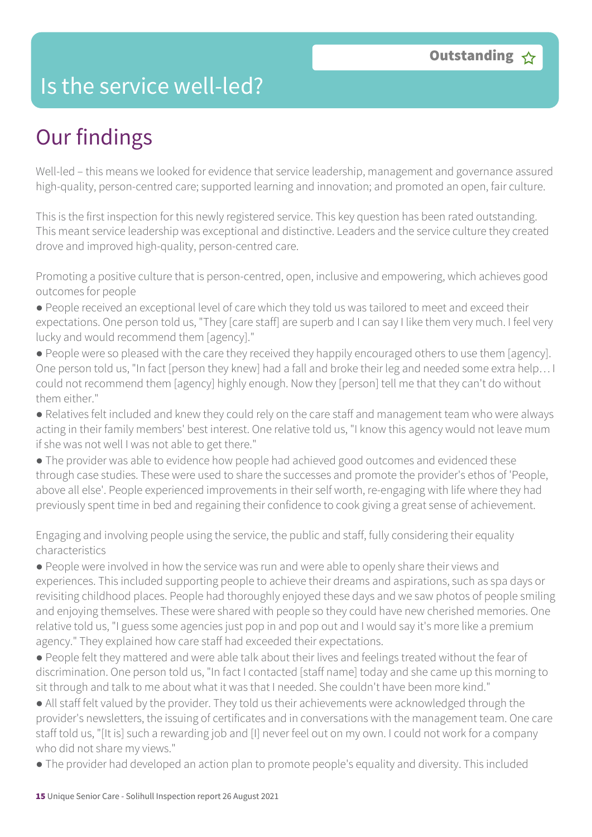### Is the service well-led?

# Our findings

Well-led – this means we looked for evidence that service leadership, management and governance assured high-quality, person-centred care; supported learning and innovation; and promoted an open, fair culture.

This is the first inspection for this newly registered service. This key question has been rated outstanding. This meant service leadership was exceptional and distinctive. Leaders and the service culture they created drove and improved high-quality, person-centred care.

Promoting a positive culture that is person-centred, open, inclusive and empowering, which achieves good outcomes for people

- People received an exceptional level of care which they told us was tailored to meet and exceed their expectations. One person told us, "They [care staff] are superb and I can say I like them very much. I feel very lucky and would recommend them [agency]."
- People were so pleased with the care they received they happily encouraged others to use them [agency]. One person told us, "In fact [person they knew] had a fall and broke their leg and needed some extra help… I could not recommend them [agency] highly enough. Now they [person] tell me that they can't do without them either."
- Relatives felt included and knew they could rely on the care staff and management team who were always acting in their family members' best interest. One relative told us, "I know this agency would not leave mum if she was not well I was not able to get there."
- The provider was able to evidence how people had achieved good outcomes and evidenced these through case studies. These were used to share the successes and promote the provider's ethos of 'People, above all else'. People experienced improvements in their self worth, re-engaging with life where they had previously spent time in bed and regaining their confidence to cook giving a great sense of achievement.

Engaging and involving people using the service, the public and staff, fully considering their equality characteristics

- People were involved in how the service was run and were able to openly share their views and experiences. This included supporting people to achieve their dreams and aspirations, such as spa days or revisiting childhood places. People had thoroughly enjoyed these days and we saw photos of people smiling and enjoying themselves. These were shared with people so they could have new cherished memories. One relative told us, "I guess some agencies just pop in and pop out and I would say it's more like a premium agency." They explained how care staff had exceeded their expectations.
- People felt they mattered and were able talk about their lives and feelings treated without the fear of discrimination. One person told us, "In fact I contacted [staff name] today and she came up this morning to sit through and talk to me about what it was that I needed. She couldn't have been more kind."
- All staff felt valued by the provider. They told us their achievements were acknowledged through the provider's newsletters, the issuing of certificates and in conversations with the management team. One care staff told us, "[It is] such a rewarding job and [I] never feel out on my own. I could not work for a company who did not share my views."
- The provider had developed an action plan to promote people's equality and diversity. This included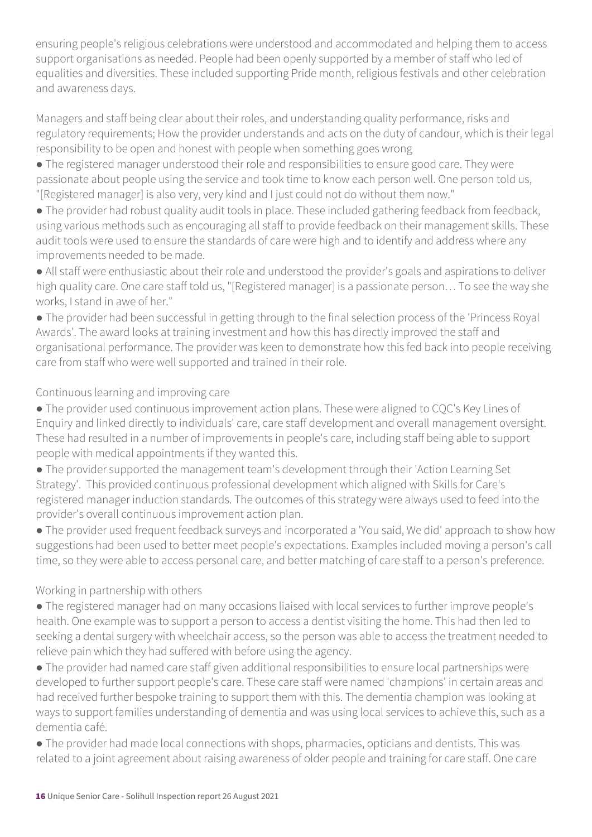ensuring people's religious celebrations were understood and accommodated and helping them to access support organisations as needed. People had been openly supported by a member of staff who led of equalities and diversities. These included supporting Pride month, religious festivals and other celebration and awareness days.

Managers and staff being clear about their roles, and understanding quality performance, risks and regulatory requirements; How the provider understands and acts on the duty of candour, which is their legal responsibility to be open and honest with people when something goes wrong

● The registered manager understood their role and responsibilities to ensure good care. They were passionate about people using the service and took time to know each person well. One person told us, "[Registered manager] is also very, very kind and I just could not do without them now."

● The provider had robust quality audit tools in place. These included gathering feedback from feedback, using various methods such as encouraging all staff to provide feedback on their management skills. These audit tools were used to ensure the standards of care were high and to identify and address where any improvements needed to be made.

● All staff were enthusiastic about their role and understood the provider's goals and aspirations to deliver high quality care. One care staff told us, "[Registered manager] is a passionate person… To see the way she works, I stand in awe of her."

● The provider had been successful in getting through to the final selection process of the 'Princess Royal Awards'. The award looks at training investment and how this has directly improved the staff and organisational performance. The provider was keen to demonstrate how this fed back into people receiving care from staff who were well supported and trained in their role.

#### Continuous learning and improving care

● The provider used continuous improvement action plans. These were aligned to CQC's Key Lines of Enquiry and linked directly to individuals' care, care staff development and overall management oversight. These had resulted in a number of improvements in people's care, including staff being able to support people with medical appointments if they wanted this.

● The provider supported the management team's development through their 'Action Learning Set Strategy'. This provided continuous professional development which aligned with Skills for Care's registered manager induction standards. The outcomes of this strategy were always used to feed into the provider's overall continuous improvement action plan.

● The provider used frequent feedback surveys and incorporated a 'You said, We did' approach to show how suggestions had been used to better meet people's expectations. Examples included moving a person's call time, so they were able to access personal care, and better matching of care staff to a person's preference.

#### Working in partnership with others

● The registered manager had on many occasions liaised with local services to further improve people's health. One example was to support a person to access a dentist visiting the home. This had then led to seeking a dental surgery with wheelchair access, so the person was able to access the treatment needed to relieve pain which they had suffered with before using the agency.

● The provider had named care staff given additional responsibilities to ensure local partnerships were developed to further support people's care. These care staff were named 'champions' in certain areas and had received further bespoke training to support them with this. The dementia champion was looking at ways to support families understanding of dementia and was using local services to achieve this, such as a dementia café.

● The provider had made local connections with shops, pharmacies, opticians and dentists. This was related to a joint agreement about raising awareness of older people and training for care staff. One care